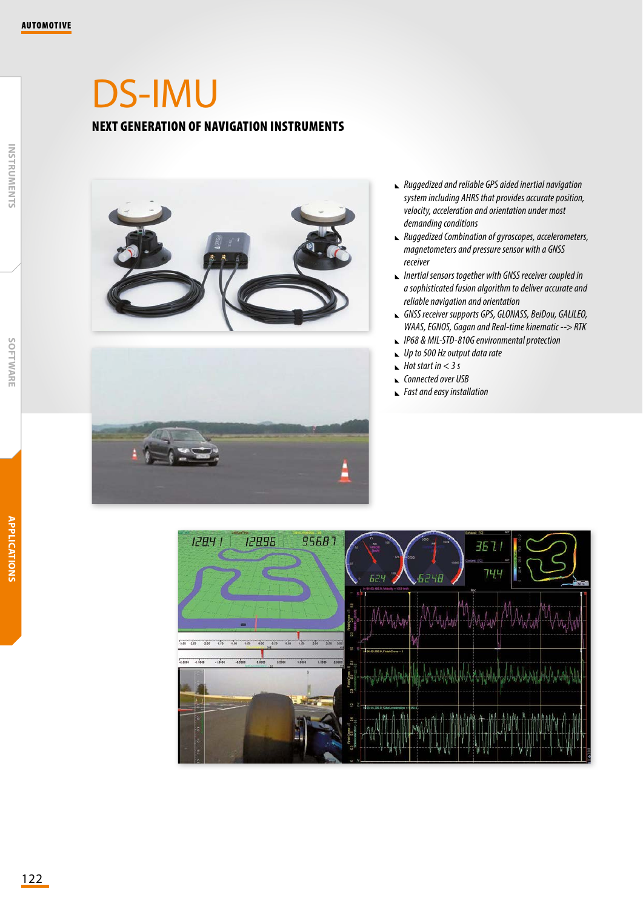## DS-IMU NEXT GENERATION OF NAVIGATION INSTRUMENTS



- *Ruggedized and reliable GPS aided inertial navigation system including AHRS that provides accurate position, velocity, acceleration and orientation under most demanding conditions*
- *Ruggedized Combination of gyroscopes, accelerometers, magnetometers and pressure sensor with a GNSS receiver*
- *Inertial sensors together with GNSS receiver coupled in a sophisticated fusion algorithm to deliver accurate and reliable navigation and orientation*
- *GNSS receiver supports GPS, GLONASS, BeiDou, GALILEO, WAAS, EGNOS, Gagan and Real-time kinematic --> RTK*
- *IP68 & MIL-STD-810G environmental protection*
- *Up to 500 Hz output data rate*
- *Hot start in < 3 s*
- *Connected over USB*
- *Fast and easy installation*